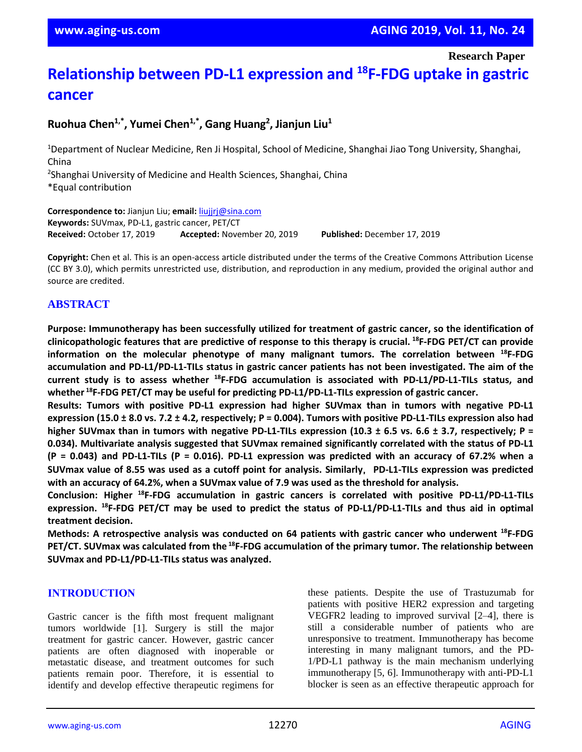**Research Paper**

# **Relationship between PD-L1 expression and <sup>18</sup>F-FDG uptake in gastric cancer**

# **Ruohua Chen1,\* , Yumei Chen1,\*, Gang Huang<sup>2</sup> , Jianjun Liu<sup>1</sup>**

<sup>1</sup>Department of Nuclear Medicine, Ren Ji Hospital, School of Medicine, Shanghai Jiao Tong University, Shanghai, China 2 Shanghai University of Medicine and Health Sciences, Shanghai, China \*Equal contribution

**Correspondence to:** Jianjun Liu; **email:** [liujjrj@sina.com](mailto:liujjrj@sina.com) **Keywords:** SUVmax, PD-L1, gastric cancer, PET/CT **Received:** October 17, 2019 **Accepted:** November 20, 2019 **Published:** December 17, 2019

**Copyright:** Chen et al. This is an open-access article distributed under the terms of the Creative Commons Attribution License (CC BY 3.0), which permits unrestricted use, distribution, and reproduction in any medium, provided the original author and source are credited.

## **ABSTRACT**

**Purpose: Immunotherapy has been successfully utilized for treatment of gastric cancer, so the identification of** clinicopathologic features that are predictive of response to this therapy is crucial. <sup>18</sup>F-FDG PET/CT can provide **information on the molecular phenotype of many malignant tumors. The correlation between <sup>18</sup>F-FDG accumulation and PD-L1/PD-L1-TILs status in gastric cancer patients has not been investigated. The aim of the current study is to assess whether <sup>18</sup>F-FDG accumulation is associated with PD-L1/PD-L1-TILs status, and whether <sup>18</sup>F-FDG PET/CT may be useful for predicting PD-L1/PD-L1-TILs expression of gastric cancer.**

**Results: Tumors with positive PD-L1 expression had higher SUVmax than in tumors with negative PD-L1** expression (15.0 ± 8.0 vs. 7.2 ± 4.2, respectively;  $P = 0.004$ ). Tumors with positive PD-L1-TILs expression also had higher SUV max than in tumors with negative PD-L1-TILs expression (10.3  $\pm$  6.5 vs. 6.6  $\pm$  3.7, respectively; P = **0.034). Multivariate analysis suggested that SUVmax remained significantly correlated with the status of PD-L1**  $(P = 0.043)$  and PD-L1-TILs  $(P = 0.016)$ . PD-L1 expression was predicted with an accuracy of 67.2% when a SUVmax value of 8.55 was used as a cutoff point for analysis. Similarly, PD-L1-TILs expression was predicted **with an accuracy of 64.2%, when a SUVmax value of 7.9 was used as the threshold for analysis.**

**Conclusion: Higher <sup>18</sup>F-FDG accumulation in gastric cancers is correlated with positive PD-L1/PD-L1-TILs** expression. <sup>18</sup>F-FDG PET/CT may be used to predict the status of PD-L1/PD-L1-TILs and thus aid in optimal **treatment decision.**

**Methods: A retrospective analysis was conducted on 64 patients with gastric cancer who underwent <sup>18</sup>F-FDG PET/CT. SUVmax was calculated from the <sup>18</sup>F-FDG accumulation of the primary tumor. The relationship between SUVmax and PD-L1/PD-L1-TILs status was analyzed.**

## **INTRODUCTION**

Gastric cancer is the fifth most frequent malignant tumors worldwide [1]. Surgery is still the major treatment for gastric cancer. However, gastric cancer patients are often diagnosed with inoperable or metastatic disease, and treatment outcomes for such patients remain poor. Therefore, it is essential to identify and develop effective therapeutic regimens for

these patients. Despite the use of Trastuzumab for patients with positive HER2 expression and targeting VEGFR2 leading to improved survival [2–4], there is still a considerable number of patients who are unresponsive to treatment. Immunotherapy has become interesting in many malignant tumors, and the PD-1/PD-L1 pathway is the main mechanism underlying immunotherapy [5, 6]. Immunotherapy with anti-PD-L1 blocker is seen as an effective therapeutic approach for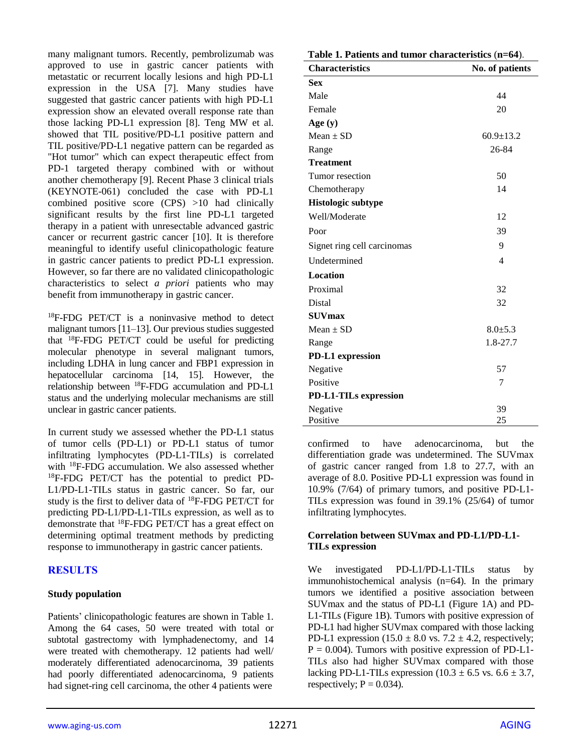many malignant tumors. Recently, pembrolizumab was approved to use in gastric cancer patients with metastatic or recurrent locally lesions and high PD-L1 expression in the USA [7]. Many studies have suggested that gastric cancer patients with high PD-L1 expression show an elevated overall response rate than those lacking PD-L1 expression [8]. Teng MW et al. showed that TIL positive/PD-L1 positive pattern and TIL positive/PD-L1 negative pattern can be regarded as "Hot tumor" which can expect therapeutic effect from PD-1 targeted therapy combined with or without another chemotherapy [9]. Recent Phase 3 clinical trials (KEYNOTE-061) concluded the case with PD-L1 combined positive score (CPS) >10 had clinically significant results by the first line PD-L1 targeted therapy in a patient with unresectable advanced gastric cancer or recurrent gastric cancer [10]. It is therefore meaningful to identify useful clinicopathologic feature in gastric cancer patients to predict PD-L1 expression. However, so far there are no validated clinicopathologic characteristics to select *a priori* patients who may benefit from immunotherapy in gastric cancer.

<sup>18</sup>F-FDG PET/CT is a noninvasive method to detect malignant tumors [11–13]. Our previous studies suggested that <sup>18</sup>F-FDG PET/CT could be useful for predicting molecular phenotype in several malignant tumors, including LDHA in lung cancer and FBP1 expression in hepatocellular carcinoma [14, 15]. However, the relationship between <sup>18</sup>F-FDG accumulation and PD-L1 status and the underlying molecular mechanisms are still unclear in gastric cancer patients.

In current study we assessed whether the PD-L1 status of tumor cells (PD-L1) or PD-L1 status of tumor infiltrating lymphocytes (PD-L1-TILs) is correlated with <sup>18</sup>F-FDG accumulation. We also assessed whether <sup>18</sup>F-FDG PET/CT has the potential to predict PD-L1/PD-L1-TILs status in gastric cancer. So far, our study is the first to deliver data of <sup>18</sup>F-FDG PET/CT for predicting PD-L1/PD-L1-TILs expression, as well as to demonstrate that <sup>18</sup>F-FDG PET/CT has a great effect on determining optimal treatment methods by predicting response to immunotherapy in gastric cancer patients.

## **RESULTS**

## **Study population**

Patients' clinicopathologic features are shown in Table 1. Among the 64 cases, 50 were treated with total or subtotal gastrectomy with lymphadenectomy, and 14 were treated with chemotherapy. 12 patients had well/ moderately differentiated adenocarcinoma, 39 patients had poorly differentiated adenocarcinoma, 9 patients had signet-ring cell carcinoma, the other 4 patients were

| Table 1. Patients and tumor characteristics (n=64). |                          |  |  |  |  |
|-----------------------------------------------------|--------------------------|--|--|--|--|
| <b>Characteristics</b>                              | No. of patients          |  |  |  |  |
| <b>Sex</b>                                          |                          |  |  |  |  |
| Male                                                | 44                       |  |  |  |  |
| Female                                              | 20                       |  |  |  |  |
| Age $(y)$                                           |                          |  |  |  |  |
| $Mean \pm SD$                                       | $60.9 \pm 13.2$          |  |  |  |  |
| Range                                               | 26-84                    |  |  |  |  |
| <b>Treatment</b>                                    |                          |  |  |  |  |
| Tumor resection                                     | 50                       |  |  |  |  |
| Chemotherapy                                        | 14                       |  |  |  |  |
| <b>Histologic subtype</b>                           |                          |  |  |  |  |
| Well/Moderate                                       | 12                       |  |  |  |  |
| Poor                                                | 39                       |  |  |  |  |
| Signet ring cell carcinomas                         | 9                        |  |  |  |  |
| Undetermined                                        | $\overline{\mathcal{L}}$ |  |  |  |  |
| <b>Location</b>                                     |                          |  |  |  |  |
| Proximal                                            | 32                       |  |  |  |  |
| Distal                                              | 32                       |  |  |  |  |
| <b>SUVmax</b>                                       |                          |  |  |  |  |
| $Mean \pm SD$                                       | $8.0 + 5.3$              |  |  |  |  |
| Range                                               | 1.8-27.7                 |  |  |  |  |
| <b>PD-L1</b> expression                             |                          |  |  |  |  |
| Negative                                            | 57                       |  |  |  |  |
| Positive                                            | 7                        |  |  |  |  |
| <b>PD-L1-TILs expression</b>                        |                          |  |  |  |  |
| Negative                                            | 39                       |  |  |  |  |
| Positive                                            | 25                       |  |  |  |  |

confirmed to have adenocarcinoma, but the differentiation grade was undetermined. The SUVmax of gastric cancer ranged from 1.8 to 27.7, with an average of 8.0. Positive PD-L1 expression was found in 10.9% (7/64) of primary tumors, and positive PD-L1- TILs expression was found in 39.1% (25/64) of tumor infiltrating lymphocytes.

## **Correlation between SUVmax and PD-L1/PD-L1- TILs expression**

We investigated PD-L1/PD-L1-TILs status by immunohistochemical analysis (n=64). In the primary tumors we identified a positive association between SUVmax and the status of PD-L1 (Figure 1A) and PD-L1-TILs (Figure 1B). Tumors with positive expression of PD-L1 had higher SUVmax compared with those lacking PD-L1 expression (15.0  $\pm$  8.0 vs. 7.2  $\pm$  4.2, respectively;  $P = 0.004$ ). Tumors with positive expression of PD-L1-TILs also had higher SUVmax compared with those lacking PD-L1-TILs expression (10.3  $\pm$  6.5 vs. 6.6  $\pm$  3.7, respectively;  $P = 0.034$ ).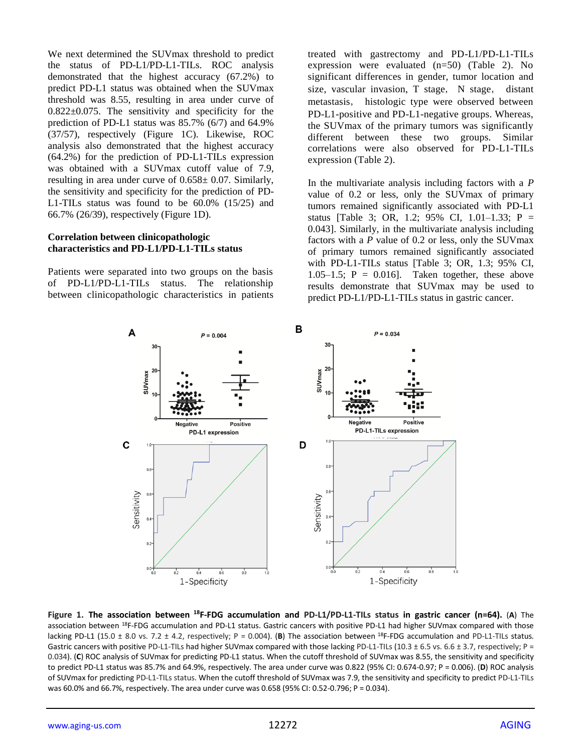We next determined the SUVmax threshold to predict the status of PD-L1/PD-L1-TILs. ROC analysis demonstrated that the highest accuracy (67.2%) to predict PD-L1 status was obtained when the SUVmax threshold was 8.55, resulting in area under curve of 0.822±0.075. The sensitivity and specificity for the prediction of PD-L1 status was 85.7% (6/7) and 64.9% (37/57), respectively (Figure 1C). Likewise, ROC analysis also demonstrated that the highest accuracy (64.2%) for the prediction of PD-L1-TILs expression was obtained with a SUVmax cutoff value of 7.9, resulting in area under curve of  $0.658 \pm 0.07$ . Similarly, the sensitivity and specificity for the prediction of PD-L1-TILs status was found to be 60.0% (15/25) and 66.7% (26/39), respectively (Figure 1D).

#### **Correlation between clinicopathologic characteristics and PD-L1/PD-L1-TILs status**

Patients were separated into two groups on the basis of PD-L1/PD-L1-TILs status. The relationship between clinicopathologic characteristics in patients treated with gastrectomy and PD-L1/PD-L1-TILs expression were evaluated (n=50) (Table 2). No significant differences in gender, tumor location and size, vascular invasion, T stage, N stage, distant metastasis, histologic type were observed between PD-L1-positive and PD-L1-negative groups. Whereas, the SUVmax of the primary tumors was significantly different between these two groups. Similar correlations were also observed for PD-L1-TILs expression (Table 2).

In the multivariate analysis including factors with a *P* value of 0.2 or less, only the SUVmax of primary tumors remained significantly associated with PD-L1 status [Table 3; OR, 1.2; 95% CI, 1.01–1.33; P = 0.043]. Similarly, in the multivariate analysis including factors with a *P* value of 0.2 or less, only the SUVmax of primary tumors remained significantly associated with PD-L1-TILs status [Table 3; OR, 1.3; 95% CI, 1.05–1.5;  $P = 0.016$ ]. Taken together, these above results demonstrate that SUVmax may be used to predict PD-L1/PD-L1-TILs status in gastric cancer.



**Figure 1. The association between <sup>18</sup>F-FDG accumulation and PD-L1/PD-L1-TILs status in gastric cancer (n=64).** (**A**) The association between 18F-FDG accumulation and PD-L1 status. Gastric cancers with positive PD-L1 had higher SUVmax compared with those lacking PD-L1 (15.0 ± 8.0 vs. 7.2 ± 4.2, respectively; P = 0.004). (B) The association between <sup>18</sup>F-FDG accumulation and PD-L1-TILs status. Gastric cancers with positive PD-L1-TILs had higher SUVmax compared with those lacking PD-L1-TILs (10.3 ± 6.5 vs. 6.6 ± 3.7, respectively; P = 0.034). (**C**) ROC analysis of SUVmax for predicting PD-L1 status. When the cutoff threshold of SUVmax was 8.55, the sensitivity and specificity to predict PD-L1 status was 85.7% and 64.9%, respectively. The area under curve was 0.822 (95% CI: 0.674-0.97; P = 0.006). (**D**) ROC analysis of SUVmax for predicting PD-L1-TILs status. When the cutoff threshold of SUVmax was 7.9, the sensitivity and specificity to predict PD-L1-TILs was 60.0% and 66.7%, respectively. The area under curve was 0.658 (95% CI: 0.52-0.796; P = 0.034).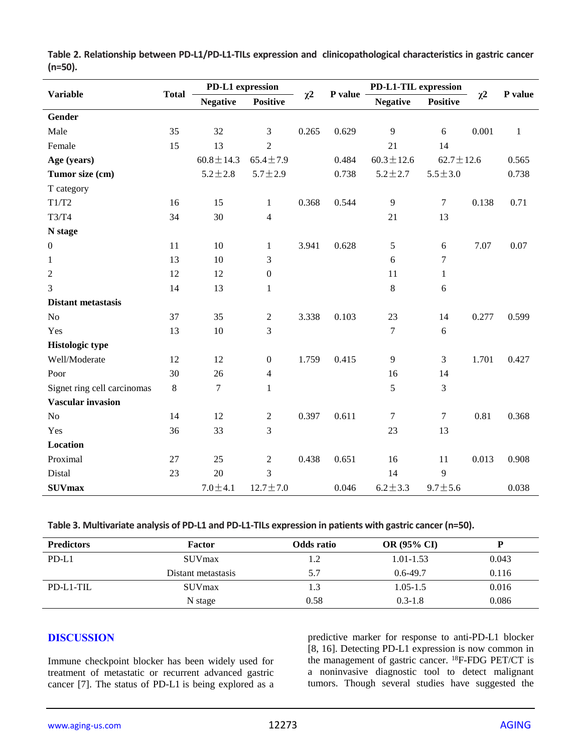| <b>Variable</b>             | <b>Total</b> | PD-L1 expression |                  |          |         | PD-L1-TIL expression |                  |          |              |
|-----------------------------|--------------|------------------|------------------|----------|---------|----------------------|------------------|----------|--------------|
|                             |              | <b>Negative</b>  | <b>Positive</b>  | $\chi^2$ | P value | <b>Negative</b>      | <b>Positive</b>  | $\chi^2$ | P value      |
| Gender                      |              |                  |                  |          |         |                      |                  |          |              |
| Male                        | 35           | 32               | 3                | 0.265    | 0.629   | 9                    | 6                | 0.001    | $\mathbf{1}$ |
| Female                      | 15           | 13               | $\overline{2}$   |          |         | 21                   | 14               |          |              |
| Age (years)                 |              | $60.8 \pm 14.3$  | $65.4 \pm 7.9$   |          | 0.484   | $60.3 \pm 12.6$      | $62.7 \pm 12.6$  |          | 0.565        |
| Tumor size (cm)             |              | $5.2 \pm 2.8$    | $5.7 \pm 2.9$    |          | 0.738   | $5.2 \pm 2.7$        | $5.5 \pm 3.0$    |          | 0.738        |
| T category                  |              |                  |                  |          |         |                      |                  |          |              |
| T1/T2                       | 16           | 15               | $\mathbf{1}$     | 0.368    | 0.544   | 9                    | $\tau$           | 0.138    | 0.71         |
| T3/T4                       | 34           | 30               | 4                |          |         | 21                   | 13               |          |              |
| N stage                     |              |                  |                  |          |         |                      |                  |          |              |
| $\boldsymbol{0}$            | 11           | 10               | 1                | 3.941    | 0.628   | 5                    | 6                | 7.07     | 0.07         |
| $\mathbf{1}$                | 13           | 10               | 3                |          |         | 6                    | $\tau$           |          |              |
| $\overline{2}$              | 12           | 12               | $\boldsymbol{0}$ |          |         | 11                   | $\mathbf{1}$     |          |              |
| 3                           | 14           | 13               | 1                |          |         | $8\,$                | 6                |          |              |
| <b>Distant metastasis</b>   |              |                  |                  |          |         |                      |                  |          |              |
| N <sub>o</sub>              | 37           | 35               | $\mathbf{2}$     | 3.338    | 0.103   | 23                   | 14               | 0.277    | 0.599        |
| Yes                         | 13           | 10               | 3                |          |         | $\overline{7}$       | 6                |          |              |
| <b>Histologic type</b>      |              |                  |                  |          |         |                      |                  |          |              |
| Well/Moderate               | 12           | 12               | $\boldsymbol{0}$ | 1.759    | 0.415   | 9                    | 3                | 1.701    | 0.427        |
| Poor                        | 30           | 26               | 4                |          |         | 16                   | 14               |          |              |
| Signet ring cell carcinomas | 8            | $\boldsymbol{7}$ | $\mathbf{1}$     |          |         | 5                    | 3                |          |              |
| <b>Vascular invasion</b>    |              |                  |                  |          |         |                      |                  |          |              |
| N <sub>o</sub>              | 14           | 12               | $\mathbf{2}$     | 0.397    | 0.611   | $\boldsymbol{7}$     | $\boldsymbol{7}$ | 0.81     | 0.368        |
| Yes                         | 36           | 33               | 3                |          |         | 23                   | 13               |          |              |
| Location                    |              |                  |                  |          |         |                      |                  |          |              |
| Proximal                    | 27           | 25               | $\overline{2}$   | 0.438    | 0.651   | 16                   | 11               | 0.013    | 0.908        |
| Distal                      | 23           | 20               | 3                |          |         | 14                   | 9                |          |              |
| <b>SUVmax</b>               |              | $7.0 \pm 4.1$    | $12.7 \pm 7.0$   |          | 0.046   | $6.2 \pm 3.3$        | $9.7 \pm 5.6$    |          | 0.038        |

**Table 2. Relationship between PD-L1/PD-L1-TILs expression and clinicopathological characteristics in gastric cancer (n=50).**

**Table 3. Multivariate analysis of PD-L1 and PD-L1-TILs expression in patients with gastric cancer (n=50).**

| <b>Predictors</b> | Factor             | Odds ratio | OR (95% CI)   |       |
|-------------------|--------------------|------------|---------------|-------|
| PD-L1             | <b>SUV</b> max     | 1.2        | $1.01 - 1.53$ | 0.043 |
|                   | Distant metastasis | 5.7        | $0.6 - 49.7$  | 0.116 |
| PD-L1-TIL         | <b>SUV</b> max     | 1.3        | $1.05 - 1.5$  | 0.016 |
|                   | N stage            | 0.58       | $0.3 - 1.8$   | 0.086 |

## **DISCUSSION**

Immune checkpoint blocker has been widely used for treatment of metastatic or recurrent advanced gastric cancer [7]. The status of PD-L1 is being explored as a

predictive marker for response to anti-PD-L1 blocker [8, 16]. Detecting PD-L1 expression is now common in the management of gastric cancer. <sup>18</sup>F-FDG PET/CT is a noninvasive diagnostic tool to detect malignant tumors. Though several studies have suggested the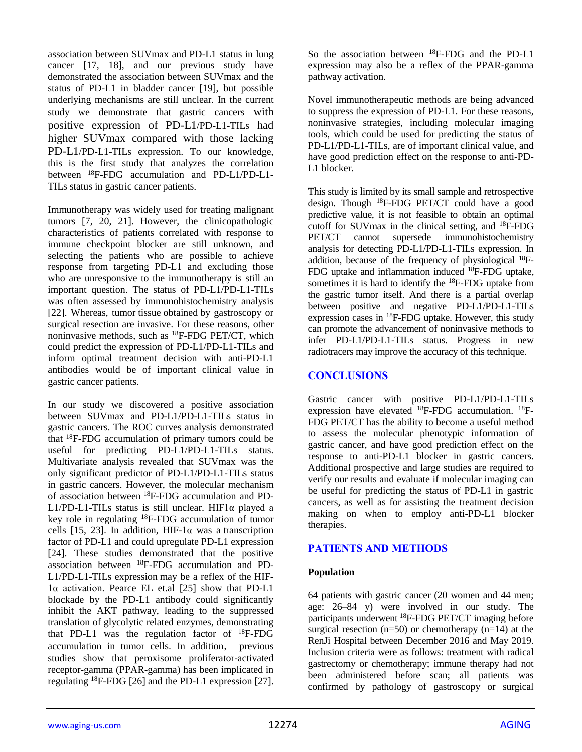association between SUVmax and PD-L1 status in lung cancer [17, 18], and our previous study have demonstrated the association between SUVmax and the status of PD-L1 in bladder cancer [19], but possible underlying mechanisms are still unclear. In the current study we demonstrate that gastric cancers with positive expression of PD-L1/PD-L1-TILs had higher SUVmax compared with those lacking PD-L1/PD-L1-TILs expression. To our knowledge, this is the first study that analyzes the correlation between <sup>18</sup>F-FDG accumulation and PD-L1/PD-L1- TILs status in gastric cancer patients.

Immunotherapy was widely used for treating malignant tumors [7, 20, 21]. However, the clinicopathologic characteristics of patients correlated with response to immune checkpoint blocker are still unknown, and selecting the patients who are possible to achieve response from targeting PD-L1 and excluding those who are unresponsive to the immunotherapy is still an important question. The status of PD-L1/PD-L1-TILs was often assessed by immunohistochemistry analysis [22]. Whereas, tumor tissue obtained by gastroscopy or surgical resection are invasive. For these reasons, other noninvasive methods, such as <sup>18</sup>F-FDG PET/CT, which could predict the expression of PD-L1/PD-L1-TILs and inform optimal treatment decision with anti-PD-L1 antibodies would be of important clinical value in gastric cancer patients.

In our study we discovered a positive association between SUVmax and PD-L1/PD-L1-TILs status in gastric cancers. The ROC curves analysis demonstrated that <sup>18</sup>F-FDG accumulation of primary tumors could be useful for predicting PD-L1/PD-L1-TILs status. Multivariate analysis revealed that SUVmax was the only significant predictor of PD-L1/PD-L1-TILs status in gastric cancers. However, the molecular mechanism of association between <sup>18</sup>F-FDG accumulation and PD-L1/PD-L1-TILs status is still unclear. HIF1 $\alpha$  played a key role in regulating <sup>18</sup>F-FDG accumulation of tumor cells [15, 23]. In addition, HIF-1 $\alpha$  was a transcription factor of PD-L1 and could upregulate PD-L1 expression [24]. These studies demonstrated that the positive association between <sup>18</sup>F-FDG accumulation and PD-L1/PD-L1-TILs expression may be a reflex of the HIF-1α activation. Pearce EL et.al [25] show that PD-L1 blockade by the PD-L1 antibody could significantly inhibit the AKT pathway, leading to the suppressed translation of glycolytic related enzymes, demonstrating that PD-L1 was the regulation factor of  $^{18}$ F-FDG accumulation in tumor cells. In addition, previous studies show that peroxisome proliferator-activated receptor-gamma (PPAR-gamma) has been implicated in regulating <sup>18</sup>F-FDG [26] and the PD-L1 expression [27]. So the association between <sup>18</sup>F-FDG and the PD-L1 expression may also be a reflex of the PPAR-gamma pathway activation.

Novel immunotherapeutic methods are being advanced to suppress the expression of PD-L1. For these reasons, noninvasive strategies, including molecular imaging tools, which could be used for predicting the status of PD-L1/PD-L1-TILs, are of important clinical value, and have good prediction effect on the response to anti-PD-L1 blocker.

This study is limited by its small sample and retrospective design. Though <sup>18</sup>F-FDG PET/CT could have a good predictive value, it is not feasible to obtain an optimal cutoff for SUV max in the clinical setting, and  $^{18}$ F-FDG PET/CT cannot supersede immunohistochemistry analysis for detecting PD-L1/PD-L1-TILs expression. In addition, because of the frequency of physiological 18F-FDG uptake and inflammation induced <sup>18</sup>F-FDG uptake, sometimes it is hard to identify the  $^{18}$ F-FDG uptake from the gastric tumor itself. And there is a partial overlap between positive and negative PD-L1/PD-L1-TILs expression cases in  ${}^{18}$ F-FDG uptake. However, this study can promote the advancement of noninvasive methods to infer PD-L1/PD-L1-TILs status. Progress in new radiotracers may improve the accuracy of this technique.

## **CONCLUSIONS**

Gastric cancer with positive PD-L1/PD-L1-TILs expression have elevated <sup>18</sup>F-FDG accumulation. <sup>18</sup>F-FDG PET/CT has the ability to become a useful method to assess the molecular phenotypic information of gastric cancer, and have good prediction effect on the response to anti-PD-L1 blocker in gastric cancers. Additional prospective and large studies are required to verify our results and evaluate if molecular imaging can be useful for predicting the status of PD-L1 in gastric cancers, as well as for assisting the treatment decision making on when to employ anti-PD-L1 blocker therapies.

## **PATIENTS AND METHODS**

## **Population**

64 patients with gastric cancer (20 women and 44 men; age: 26–84 y) were involved in our study. The participants underwent <sup>18</sup>F-FDG PET/CT imaging before surgical resection  $(n=50)$  or chemotherapy  $(n=14)$  at the RenJi Hospital between December 2016 and May 2019. Inclusion criteria were as follows: treatment with radical gastrectomy or chemotherapy; immune therapy had not been administered before scan; all patients was confirmed by pathology of gastroscopy or surgical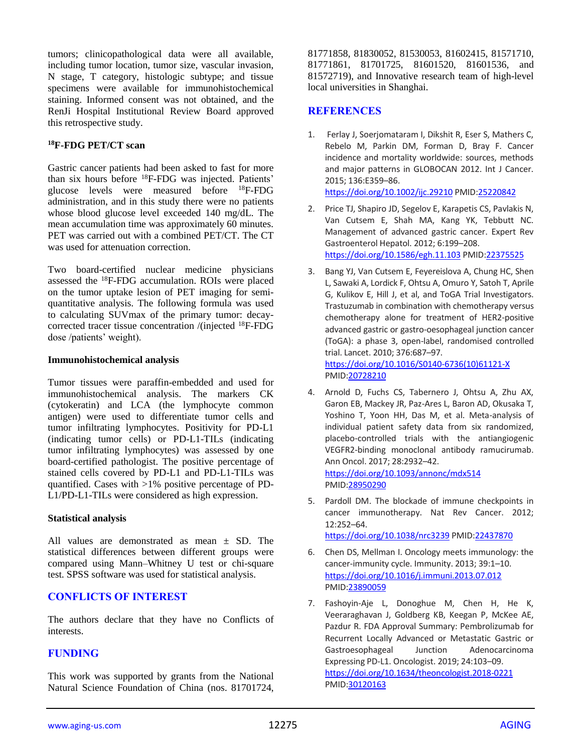tumors; clinicopathological data were all available, including tumor location, tumor size, vascular invasion, N stage, T category, histologic subtype; and tissue specimens were available for immunohistochemical staining. Informed consent was not obtained, and the RenJi Hospital Institutional Review Board approved this retrospective study.

#### **<sup>18</sup>F-FDG PET/CT scan**

Gastric cancer patients had been asked to fast for more than six hours before <sup>18</sup>F-FDG was injected. Patients' glucose levels were measured before <sup>18</sup>F-FDG administration, and in this study there were no patients whose blood glucose level exceeded 140 mg/dL. The mean accumulation time was approximately 60 minutes. PET was carried out with a combined PET/CT. The CT was used for attenuation correction.

Two board-certified nuclear medicine physicians assessed the <sup>18</sup>F-FDG accumulation. ROIs were placed on the tumor uptake lesion of PET imaging for semiquantitative analysis. The following formula was used to calculating SUVmax of the primary tumor: decaycorrected tracer tissue concentration /(injected <sup>18</sup>F-FDG dose /patients' weight).

#### **Immunohistochemical analysis**

Tumor tissues were paraffin-embedded and used for immunohistochemical analysis. The markers CK (cytokeratin) and LCA (the lymphocyte common antigen) were used to differentiate tumor cells and tumor infiltrating lymphocytes. Positivity for PD-L1 (indicating tumor cells) or PD-L1-TILs (indicating tumor infiltrating lymphocytes) was assessed by one board-certified pathologist. The positive percentage of stained cells covered by PD-L1 and PD-L1-TILs was quantified. Cases with >1% positive percentage of PD-L1/PD-L1-TILs were considered as high expression.

## **Statistical analysis**

All values are demonstrated as mean  $\pm$  SD. The statistical differences between different groups were compared using Mann–Whitney U test or chi-square test. SPSS software was used for statistical analysis.

## **CONFLICTS OF INTEREST**

The authors declare that they have no Conflicts of interests.

## **FUNDING**

This work was supported by grants from the National Natural Science Foundation of China (nos. 81701724, 81771858, 81830052, 81530053, 81602415, 81571710, 81771861, 81701725, 81601520, 81601536, and 81572719), and Innovative research team of high-level local universities in Shanghai.

## **REFERENCES**

- 1. Ferlay J, Soerjomataram I, Dikshit R, Eser S, Mathers C, Rebelo M, Parkin DM, Forman D, Bray F. Cancer incidence and mortality worldwide: sources, methods and major patterns in GLOBOCAN 2012. Int J Cancer. 2015; 136:E359–86. <https://doi.org/10.1002/ijc.29210> PMID[:25220842](https://www.ncbi.nlm.nih.gov/pubmed/25220842)
- 2. Price TJ, Shapiro JD, Segelov E, Karapetis CS, Pavlakis N, Van Cutsem E, Shah MA, Kang YK, Tebbutt NC. Management of advanced gastric cancer. Expert Rev Gastroenterol Hepatol. 2012; 6:199–208. <https://doi.org/10.1586/egh.11.103> PMI[D:22375525](https://www.ncbi.nlm.nih.gov/pubmed/22375525)
- 3. Bang YJ, Van Cutsem E, Feyereislova A, Chung HC, Shen L, Sawaki A, Lordick F, Ohtsu A, Omuro Y, Satoh T, Aprile G, Kulikov E, Hill J, et al, and ToGA Trial Investigators. Trastuzumab in combination with chemotherapy versus chemotherapy alone for treatment of HER2-positive advanced gastric or gastro-oesophageal junction cancer (ToGA): a phase 3, open-label, randomised controlled trial. Lancet. 2010; 376:687–97. [https://doi.org/10.1016/S0140-6736\(10\)61121-X](https://doi.org/10.1016/S0140-6736%2810%2961121-X) PMI[D:20728210](https://www.ncbi.nlm.nih.gov/pubmed/20728210)
- 4. Arnold D, Fuchs CS, Tabernero J, Ohtsu A, Zhu AX, Garon EB, Mackey JR, Paz-Ares L, Baron AD, Okusaka T, Yoshino T, Yoon HH, Das M, et al. Meta-analysis of individual patient safety data from six randomized, placebo-controlled trials with the antiangiogenic VEGFR2-binding monoclonal antibody ramucirumab. Ann Oncol. 2017; 28:2932–42. <https://doi.org/10.1093/annonc/mdx514> PMI[D:28950290](https://www.ncbi.nlm.nih.gov/pubmed/28950290)
- 5. Pardoll DM. The blockade of immune checkpoints in cancer immunotherapy. Nat Rev Cancer. 2012; 12:252–64. <https://doi.org/10.1038/nrc3239> PMID[:22437870](https://www.ncbi.nlm.nih.gov/pubmed/22437870)
- 6. Chen DS, Mellman I. Oncology meets immunology: the cancer-immunity cycle. Immunity. 2013; 39:1–10. <https://doi.org/10.1016/j.immuni.2013.07.012> PMI[D:23890059](https://www.ncbi.nlm.nih.gov/pubmed/23890059)
- 7. Fashoyin-Aje L, Donoghue M, Chen H, He K, Veeraraghavan J, Goldberg KB, Keegan P, McKee AE, Pazdur R. FDA Approval Summary: Pembrolizumab for Recurrent Locally Advanced or Metastatic Gastric or Gastroesophageal Junction Adenocarcinoma Expressing PD-L1. Oncologist. 2019; 24:103–09. <https://doi.org/10.1634/theoncologist.2018-0221> PMI[D:30120163](https://www.ncbi.nlm.nih.gov/pubmed/30120163)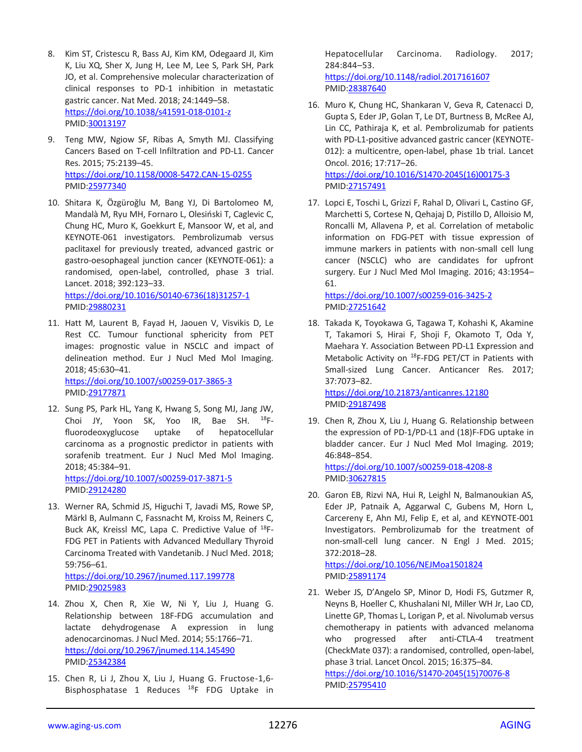- 8. Kim ST, Cristescu R, Bass AJ, Kim KM, Odegaard JI, Kim K, Liu XQ, Sher X, Jung H, Lee M, Lee S, Park SH, Park JO, et al. Comprehensive molecular characterization of clinical responses to PD-1 inhibition in metastatic gastric cancer. Nat Med. 2018; 24:1449–58. <https://doi.org/10.1038/s41591-018-0101-z> PMID[:30013197](https://www.ncbi.nlm.nih.gov/pubmed/30013197)
- 9. Teng MW, Ngiow SF, Ribas A, Smyth MJ. Classifying Cancers Based on T-cell Infiltration and PD-L1. Cancer Res. 2015; 75:2139–45. <https://doi.org/10.1158/0008-5472.CAN-15-0255> PMID[:25977340](https://www.ncbi.nlm.nih.gov/pubmed/25977340)
- 10. Shitara K, Özgüroğlu M, Bang YJ, Di Bartolomeo M, Mandalà M, Ryu MH, Fornaro L, Olesiński T, Caglevic C, Chung HC, Muro K, Goekkurt E, Mansoor W, et al, and KEYNOTE-061 investigators. Pembrolizumab versus paclitaxel for previously treated, advanced gastric or gastro-oesophageal junction cancer (KEYNOTE-061): a randomised, open-label, controlled, phase 3 trial. Lancet. 2018; 392:123–33. [https://doi.org/10.1016/S0140-6736\(18\)31257-1](https://doi.org/10.1016/S0140-6736%2818%2931257-1) PMID[:29880231](https://www.ncbi.nlm.nih.gov/pubmed/29880231)
- 11. Hatt M, Laurent B, Fayad H, Jaouen V, Visvikis D, Le Rest CC. Tumour functional sphericity from PET images: prognostic value in NSCLC and impact of delineation method. Eur J Nucl Med Mol Imaging. 2018; 45:630–41. <https://doi.org/10.1007/s00259-017-3865-3> PMID[:29177871](https://www.ncbi.nlm.nih.gov/pubmed/29177871)
- 12. Sung PS, Park HL, Yang K, Hwang S, Song MJ, Jang JW, Choi JY, Yoon SK, Yoo IR, Bae SH.  $18F$ fluorodeoxyglucose uptake of hepatocellular carcinoma as a prognostic predictor in patients with sorafenib treatment. Eur J Nucl Med Mol Imaging. 2018; 45:384–91.

<https://doi.org/10.1007/s00259-017-3871-5> PMID[:29124280](https://www.ncbi.nlm.nih.gov/pubmed/29124280)

13. Werner RA, Schmid JS, Higuchi T, Javadi MS, Rowe SP, Märkl B, Aulmann C, Fassnacht M, Kroiss M, Reiners C, Buck AK, Kreissl MC, Lapa C. Predictive Value of 18F-FDG PET in Patients with Advanced Medullary Thyroid Carcinoma Treated with Vandetanib. J Nucl Med. 2018; 59:756–61.

<https://doi.org/10.2967/jnumed.117.199778> PMID[:29025983](https://www.ncbi.nlm.nih.gov/pubmed/29025983)

- 14. Zhou X, Chen R, Xie W, Ni Y, Liu J, Huang G. Relationship between 18F-FDG accumulation and lactate dehydrogenase A expression in lung adenocarcinomas. J Nucl Med. 2014; 55:1766–71. <https://doi.org/10.2967/jnumed.114.145490> PMID[:25342384](https://www.ncbi.nlm.nih.gov/pubmed/25342384)
- 15. Chen R, Li J, Zhou X, Liu J, Huang G. Fructose-1,6- Bisphosphatase 1 Reduces <sup>18</sup>F FDG Uptake in

Hepatocellular Carcinoma. Radiology. 2017; 284:844–53.

<https://doi.org/10.1148/radiol.2017161607> PMI[D:28387640](https://www.ncbi.nlm.nih.gov/pubmed/28387640)

- 16. Muro K, Chung HC, Shankaran V, Geva R, Catenacci D, Gupta S, Eder JP, Golan T, Le DT, Burtness B, McRee AJ, Lin CC, Pathiraja K, et al. Pembrolizumab for patients with PD-L1-positive advanced gastric cancer (KEYNOTE-012): a multicentre, open-label, phase 1b trial. Lancet Oncol. 2016; 17:717–26. [https://doi.org/10.1016/S1470-2045\(16\)00175-3](https://doi.org/10.1016/S1470-2045%2816%2900175-3) PMI[D:27157491](https://www.ncbi.nlm.nih.gov/pubmed/27157491)
- 17. Lopci E, Toschi L, Grizzi F, Rahal D, Olivari L, Castino GF, Marchetti S, Cortese N, Qehajaj D, Pistillo D, Alloisio M, Roncalli M, Allavena P, et al. Correlation of metabolic information on FDG-PET with tissue expression of immune markers in patients with non-small cell lung cancer (NSCLC) who are candidates for upfront surgery. Eur J Nucl Med Mol Imaging. 2016; 43:1954– 61.

<https://doi.org/10.1007/s00259-016-3425-2> PMI[D:27251642](https://www.ncbi.nlm.nih.gov/pubmed/27251642)

18. Takada K, Toyokawa G, Tagawa T, Kohashi K, Akamine T, Takamori S, Hirai F, Shoji F, Okamoto T, Oda Y, Maehara Y. Association Between PD-L1 Expression and Metabolic Activity on <sup>18</sup>F-FDG PET/CT in Patients with Small-sized Lung Cancer. Anticancer Res. 2017; 37:7073–82.

<https://doi.org/10.21873/anticanres.12180> PMI[D:29187498](https://www.ncbi.nlm.nih.gov/pubmed/29187498)

19. Chen R, Zhou X, Liu J, Huang G. Relationship between the expression of PD-1/PD-L1 and (18)F-FDG uptake in bladder cancer. Eur J Nucl Med Mol Imaging. 2019; 46:848–854. <https://doi.org/10.1007/s00259-018-4208-8>

PMI[D:30627815](https://www.ncbi.nlm.nih.gov/pubmed/30627815)

20. Garon EB, Rizvi NA, Hui R, Leighl N, Balmanoukian AS, Eder JP, Patnaik A, Aggarwal C, Gubens M, Horn L, Carcereny E, Ahn MJ, Felip E, et al, and KEYNOTE-001 Investigators. Pembrolizumab for the treatment of non-small-cell lung cancer. N Engl J Med. 2015; 372:2018–28. <https://doi.org/10.1056/NEJMoa1501824>

PMI[D:25891174](https://www.ncbi.nlm.nih.gov/pubmed/25891174)

21. Weber JS, D'Angelo SP, Minor D, Hodi FS, Gutzmer R, Neyns B, Hoeller C, Khushalani NI, Miller WH Jr, Lao CD, Linette GP, Thomas L, Lorigan P, et al. Nivolumab versus chemotherapy in patients with advanced melanoma who progressed after anti-CTLA-4 treatment (CheckMate 037): a randomised, controlled, open-label, phase 3 trial. Lancet Oncol. 2015; 16:375–84. [https://doi.org/10.1016/S1470-2045\(15\)70076-8](https://doi.org/10.1016/S1470-2045%2815%2970076-8) PMI[D:25795410](https://www.ncbi.nlm.nih.gov/pubmed/25795410)